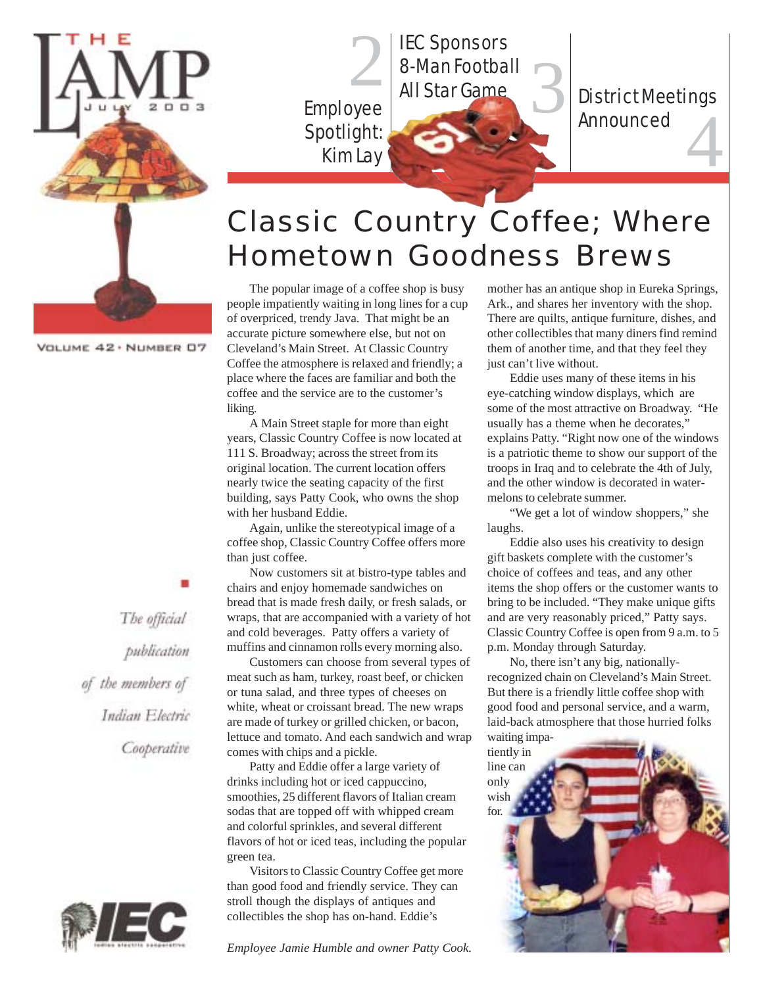

Spotlight: **2 IEC Sponsors<br>8-Man Footba<br>Employee All Star Game** 8-Man Football

Employee<br>Spotlight: Kim Lay District Meetings<br>Announced

### Classic Country Coffee; Where Hometown Goodness Brews

The popular image of a coffee shop is busy people impatiently waiting in long lines for a cup of overpriced, trendy Java. That might be an accurate picture somewhere else, but not on Cleveland's Main Street. At Classic Country Coffee the atmosphere is relaxed and friendly; a place where the faces are familiar and both the coffee and the service are to the customer's liking.

Kim Lay

A Main Street staple for more than eight years, Classic Country Coffee is now located at 111 S. Broadway; across the street from its original location. The current location offers nearly twice the seating capacity of the first building, says Patty Cook, who owns the shop with her husband Eddie.

Again, unlike the stereotypical image of a coffee shop, Classic Country Coffee offers more than just coffee.

Now customers sit at bistro-type tables and chairs and enjoy homemade sandwiches on bread that is made fresh daily, or fresh salads, or wraps, that are accompanied with a variety of hot and cold beverages. Patty offers a variety of muffins and cinnamon rolls every morning also.

Customers can choose from several types of meat such as ham, turkey, roast beef, or chicken or tuna salad, and three types of cheeses on white, wheat or croissant bread. The new wraps are made of turkey or grilled chicken, or bacon, lettuce and tomato. And each sandwich and wrap comes with chips and a pickle.

Patty and Eddie offer a large variety of drinks including hot or iced cappuccino, smoothies, 25 different flavors of Italian cream sodas that are topped off with whipped cream and colorful sprinkles, and several different flavors of hot or iced teas, including the popular green tea.

Visitors to Classic Country Coffee get more than good food and friendly service. They can stroll though the displays of antiques and collectibles the shop has on-hand. Eddie's

*Employee Jamie Humble and owner Patty Cook.*

mother has an antique shop in Eureka Springs, Ark., and shares her inventory with the shop. There are quilts, antique furniture, dishes, and other collectibles that many diners find remind them of another time, and that they feel they just can't live without.

Eddie uses many of these items in his eye-catching window displays, which are some of the most attractive on Broadway. "He usually has a theme when he decorates," explains Patty. "Right now one of the windows is a patriotic theme to show our support of the troops in Iraq and to celebrate the 4th of July, and the other window is decorated in watermelons to celebrate summer.

"We get a lot of window shoppers," she laughs.

Eddie also uses his creativity to design gift baskets complete with the customer's choice of coffees and teas, and any other items the shop offers or the customer wants to bring to be included. "They make unique gifts and are very reasonably priced," Patty says. Classic Country Coffee is open from 9 a.m. to 5 p.m. Monday through Saturday.

No, there isn't any big, nationallyrecognized chain on Cleveland's Main Street. But there is a friendly little coffee shop with good food and personal service, and a warm, laid-back atmosphere that those hurried folks



VOLUME 42 · NUMBER 07

The official publication of the members of Indian Electric Cooperative

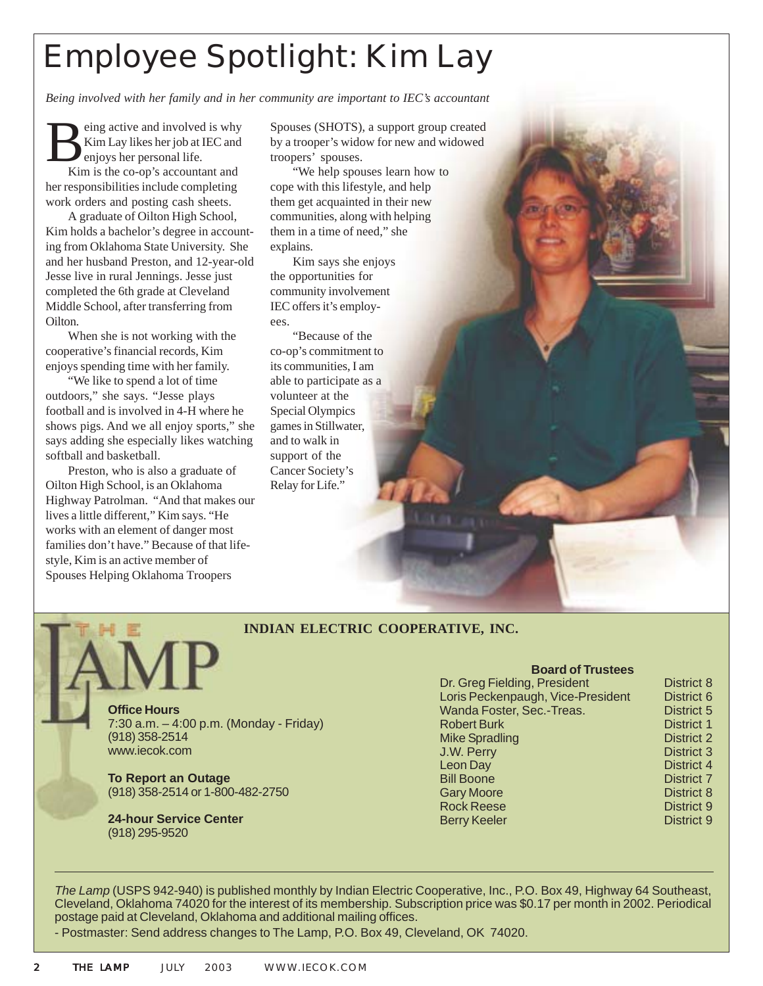# Employee Spotlight: Kim Lay

*Being involved with her family and in her community are important to IEC's accountant*

Being active and involved is why<br>Kim Lay likes her job at IEC and<br>Kim is the co on's accountant and Kim Lay likes her job at IEC and enjoys her personal life.

Kim is the co-op's accountant and her responsibilities include completing work orders and posting cash sheets.

A graduate of Oilton High School, Kim holds a bachelor's degree in accounting from Oklahoma State University. She and her husband Preston, and 12-year-old Jesse live in rural Jennings. Jesse just completed the 6th grade at Cleveland Middle School, after transferring from Oilton.

When she is not working with the cooperative's financial records, Kim enjoys spending time with her family.

"We like to spend a lot of time outdoors," she says. "Jesse plays football and is involved in 4-H where he shows pigs. And we all enjoy sports," she says adding she especially likes watching softball and basketball.

Preston, who is also a graduate of Oilton High School, is an Oklahoma Highway Patrolman. "And that makes our lives a little different," Kim says. "He works with an element of danger most families don't have." Because of that lifestyle, Kim is an active member of Spouses Helping Oklahoma Troopers

Spouses (SHOTS), a support group created by a trooper's widow for new and widowed troopers' spouses.

"We help spouses learn how to cope with this lifestyle, and help them get acquainted in their new communities, along with helping them in a time of need," she explains.

Kim says she enjoys the opportunities for community involvement IEC offers it's employees.

"Because of the co-op's commitment to its communities, I am able to participate as a volunteer at the Special Olympics games in Stillwater, and to walk in support of the Cancer Society's Relay for Life."

#### **INDIAN ELECTRIC COOPERATIVE, INC.**

**Office Hours** 7:30 a.m. – 4:00 p.m. (Monday - Friday) (918) 358-2514 www.iecok.com

**To Report an Outage** (918) 358-2514 or 1-800-482-2750

**24-hour Service Center** (918) 295-9520

| <b>Board of Trustees</b>          |                   |
|-----------------------------------|-------------------|
| Dr. Greg Fielding, President      | District 8        |
| Loris Peckenpaugh, Vice-President | District 6        |
| Wanda Foster, Sec.-Treas.         | District 5        |
| <b>Robert Burk</b>                | District 1        |
| <b>Mike Spradling</b>             | <b>District 2</b> |
| J.W. Perry                        | <b>District 3</b> |
| Leon Day                          | District 4        |
| <b>Bill Boone</b>                 | District 7        |
| <b>Gary Moore</b>                 | District 8        |
| <b>Rock Reese</b>                 | District 9        |
| <b>Berry Keeler</b>               | District 9        |

*The Lamp* (USPS 942-940) is published monthly by Indian Electric Cooperative, Inc., P.O. Box 49, Highway 64 Southeast, Cleveland, Oklahoma 74020 for the interest of its membership. Subscription price was \$0.17 per month in 2002. Periodical postage paid at Cleveland, Oklahoma and additional mailing offices.

- Postmaster: Send address changes to The Lamp, P.O. Box 49, Cleveland, OK 74020.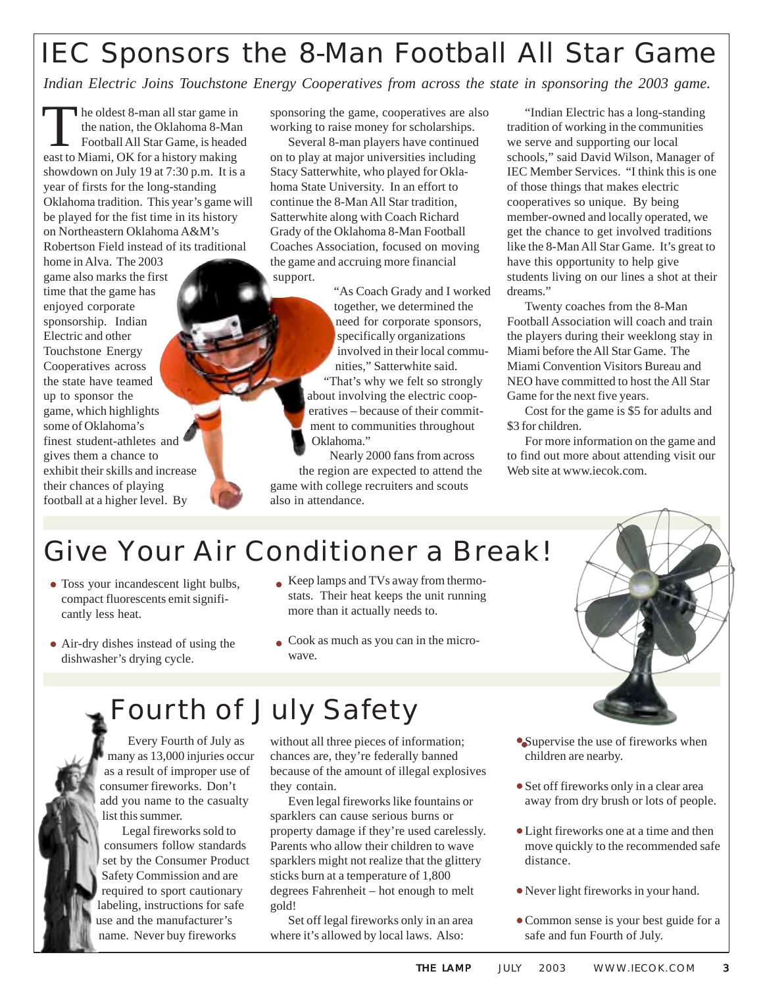## IEC Sponsors the 8-Man Football All Star Game

*Indian Electric Joins Touchstone Energy Cooperatives from across the state in sponsoring the 2003 game.*

he oldest 8-man all star game in the nation, the Oklahoma 8-Man Football All Star Game, is headed The oldest 8-man all star game in<br>the nation, the Oklahoma 8-Ma<br>Football All Star Game, is heade<br>east to Miami, OK for a history making showdown on July 19 at 7:30 p.m. It is a year of firsts for the long-standing Oklahoma tradition. This year's game will be played for the fist time in its history on Northeastern Oklahoma A&M's Robertson Field instead of its traditional

home in Alva. The 2003 game also marks the first time that the game has enjoyed corporate sponsorship. Indian Electric and other Touchstone Energy Cooperatives across the state have teamed up to sponsor the game, which highlights some of Oklahoma's finest student-athletes and gives them a chance to exhibit their skills and increase their chances of playing football at a higher level. By

sponsoring the game, cooperatives are also working to raise money for scholarships.

Several 8-man players have continued on to play at major universities including Stacy Satterwhite, who played for Oklahoma State University. In an effort to continue the 8-Man All Star tradition, Satterwhite along with Coach Richard Grady of the Oklahoma 8-Man Football Coaches Association, focused on moving the game and accruing more financial support.

> "As Coach Grady and I worked together, we determined the need for corporate sponsors, specifically organizations involved in their local communities," Satterwhite said.

"That's why we felt so strongly about involving the electric cooperatives – because of their commitment to communities throughout Oklahoma."

Nearly 2000 fans from across the region are expected to attend the game with college recruiters and scouts also in attendance.

"Indian Electric has a long-standing tradition of working in the communities we serve and supporting our local schools," said David Wilson, Manager of IEC Member Services. "I think this is one of those things that makes electric cooperatives so unique. By being member-owned and locally operated, we get the chance to get involved traditions like the 8-Man All Star Game. It's great to have this opportunity to help give students living on our lines a shot at their dreams."

Twenty coaches from the 8-Man Football Association will coach and train the players during their weeklong stay in Miami before the All Star Game. The Miami Convention Visitors Bureau and NEO have committed to host the All Star Game for the next five years.

Cost for the game is \$5 for adults and \$3 for children.

For more information on the game and to find out more about attending visit our Web site at www.iecok.com.

### Give Your Air Conditioner a Break!

- Toss your incandescent light bulbs, compact fluorescents emit significantly less heat.
- Keep lamps and TVs away from thermostats. Their heat keeps the unit running more than it actually needs to.
- Air-dry dishes instead of using the dishwasher's drying cycle.
- Cook as much as you can in the microwave.

### Fourth of July Safety

Every Fourth of July as many as 13,000 injuries occur as a result of improper use of consumer fireworks. Don't add you name to the casualty list this summer.

Legal fireworks sold to consumers follow standards set by the Consumer Product Safety Commission and are required to sport cautionary labeling, instructions for safe use and the manufacturer's name. Never buy fireworks

without all three pieces of information; chances are, they're federally banned because of the amount of illegal explosives they contain.

Even legal fireworks like fountains or sparklers can cause serious burns or property damage if they're used carelessly. Parents who allow their children to wave sparklers might not realize that the glittery sticks burn at a temperature of 1,800 degrees Fahrenheit – hot enough to melt gold!

Set off legal fireworks only in an area where it's allowed by local laws. Also:

- Supervise the use of fireworks when children are nearby.
- Set off fireworks only in a clear area away from dry brush or lots of people.
- Light fireworks one at a time and then move quickly to the recommended safe distance.
- Never light fireworks in your hand.
- Common sense is your best guide for a safe and fun Fourth of July.